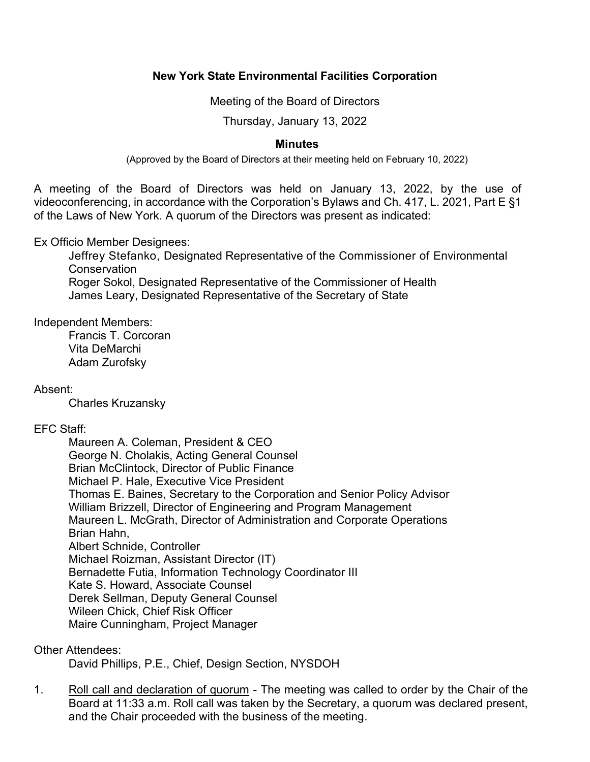# **New York State Environmental Facilities Corporation**

Meeting of the Board of Directors

Thursday, January 13, 2022

# **Minutes**

(Approved by the Board of Directors at their meeting held on February 10, 2022)

 A meeting of the Board of Directors was held on January 13, 2022, by the use of videoconferencing, in accordance with the Corporation's Bylaws and Ch. 417, L. 2021, Part E §1 of the Laws of New York. A quorum of the Directors was present as indicated:

Ex Officio Member Designees:

Jeffrey Stefanko, Designated Representative of the Commissioner of Environmental **Conservation** Roger Sokol, Designated Representative of the Commissioner of Health James Leary, Designated Representative of the Secretary of State

Independent Members:

Francis T. Corcoran Vita DeMarchi Adam Zurofsky

Absent:

Charles Kruzansky

# EFC Staff:

Maureen A. Coleman, President & CEO George N. Cholakis, Acting General Counsel Brian McClintock, Director of Public Finance Michael P. Hale, Executive Vice President Thomas E. Baines, Secretary to the Corporation and Senior Policy Advisor William Brizzell, Director of Engineering and Program Management Maureen L. McGrath, Director of Administration and Corporate Operations Brian Hahn, Albert Schnide, Controller Michael Roizman, Assistant Director (IT) Bernadette Futia, Information Technology Coordinator III Kate S. Howard, Associate Counsel Derek Sellman, Deputy General Counsel Wileen Chick, Chief Risk Officer Maire Cunningham, Project Manager

Other Attendees:

David Phillips, P.E., Chief, Design Section, NYSDOH

1. Roll call and declaration of quorum - The meeting was called to order by the Chair of the Board at 11:33 a.m. Roll call was taken by the Secretary, a quorum was declared present, and the Chair proceeded with the business of the meeting.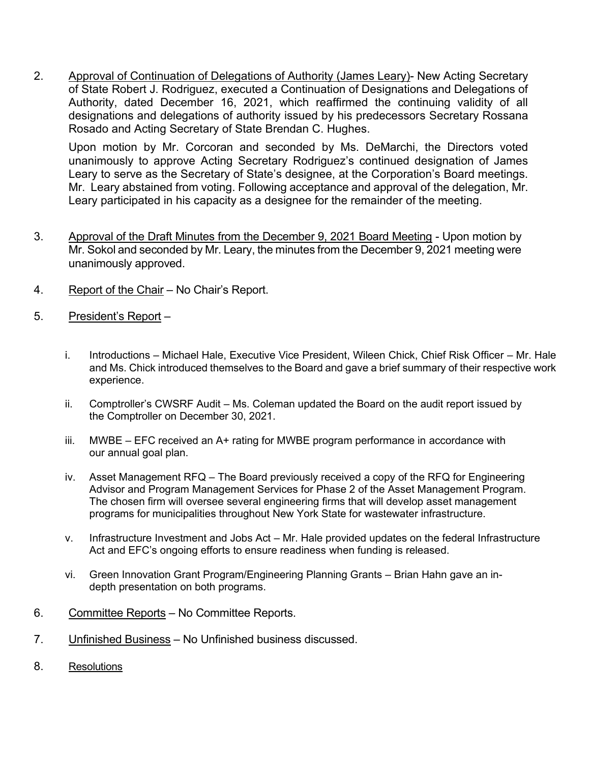2. Approval of Continuation of Delegations of Authority (James Leary)- New Acting Secretary Authority, dated December 16, 2021, which reaffirmed the continuing validity of all of State Robert J. Rodriguez, executed a Continuation of Designations and Delegations of designations and delegations of authority issued by his predecessors Secretary Rossana Rosado and Acting Secretary of State Brendan C. Hughes.

 Upon motion by Mr. Corcoran and seconded by Ms. DeMarchi, the Directors voted unanimously to approve Acting Secretary Rodriguez's continued designation of James Mr. Leary abstained from voting. Following acceptance and approval of the delegation, Mr. Leary to serve as the Secretary of State's designee, at the Corporation's Board meetings. Leary participated in his capacity as a designee for the remainder of the meeting.

- 3. Approval of the Draft Minutes from the December 9, 2021 Board Meeting Upon motion by Mr. Sokol and seconded by Mr. Leary, the minutes from the December 9, 2021 meeting were unanimously approved.
- 4. Report of the Chair No Chair's Report.
- 5. President's Report
	- i. Introductions Michael Hale, Executive Vice President, Wileen Chick, Chief Risk Officer Mr. Hale and Ms. Chick introduced themselves to the Board and gave a brief summary of their respective work experience.
	- ii. Comptroller's CWSRF Audit Ms. Coleman updated the Board on the audit report issued by the Comptroller on December 30, 2021.
	- iii. MWBE EFC received an A+ rating for MWBE program performance in accordance with our annual goal plan.
	- iv. Asset Management RFQ The Board previously received a copy of the RFQ for Engineering Advisor and Program Management Services for Phase 2 of the Asset Management Program. The chosen firm will oversee several engineering firms that will develop asset management programs for municipalities throughout New York State for wastewater infrastructure.
	- v. Infrastructure Investment and Jobs Act Mr. Hale provided updates on the federal Infrastructure Act and EFC's ongoing efforts to ensure readiness when funding is released.
	- vi. Green Innovation Grant Program/Engineering Planning Grants Brian Hahn gave an in-depth presentation on both programs.
- 6. Committee Reports No Committee Reports.
- 7. Unfinished Business No Unfinished business discussed.
- 8. Resolutions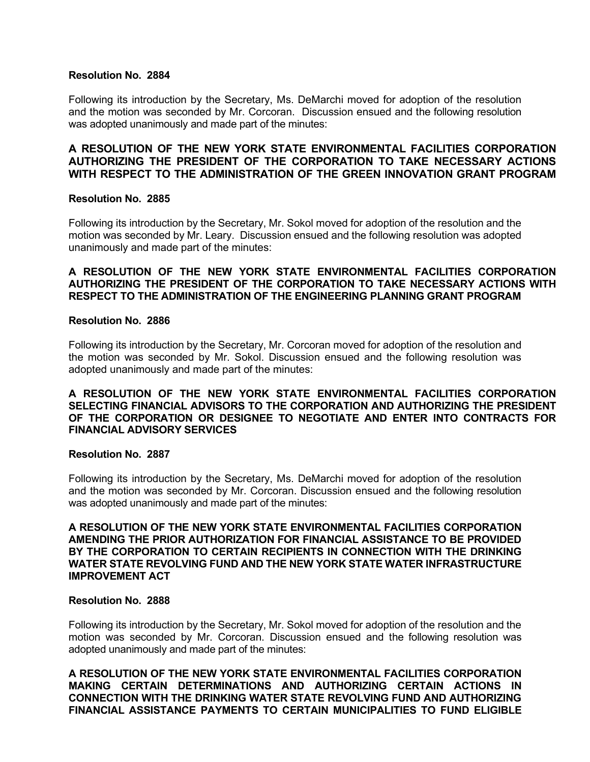#### **Resolution No. 2884**

 Following its introduction by the Secretary, Ms. DeMarchi moved for adoption of the resolution and the motion was seconded by Mr. Corcoran. Discussion ensued and the following resolution was adopted unanimously and made part of the minutes:

## **A RESOLUTION OF THE NEW YORK STATE ENVIRONMENTAL FACILITIES CORPORATION AUTHORIZING THE PRESIDENT OF THE CORPORATION TO TAKE NECESSARY ACTIONS WITH RESPECT TO THE ADMINISTRATION OF THE GREEN INNOVATION GRANT PROGRAM**

#### **Resolution No. 2885**

 Following its introduction by the Secretary, Mr. Sokol moved for adoption of the resolution and the motion was seconded by Mr. Leary. Discussion ensued and the following resolution was adopted unanimously and made part of the minutes:

## **A RESOLUTION OF THE NEW YORK STATE ENVIRONMENTAL FACILITIES CORPORATION AUTHORIZING THE PRESIDENT OF THE CORPORATION TO TAKE NECESSARY ACTIONS WITH RESPECT TO THE ADMINISTRATION OF THE ENGINEERING PLANNING GRANT PROGRAM**

#### **Resolution No. 2886**

 Following its introduction by the Secretary, Mr. Corcoran moved for adoption of the resolution and the motion was seconded by Mr. Sokol. Discussion ensued and the following resolution was adopted unanimously and made part of the minutes:

## **A RESOLUTION OF THE NEW YORK STATE ENVIRONMENTAL FACILITIES CORPORATION SELECTING FINANCIAL ADVISORS TO THE CORPORATION AND AUTHORIZING THE PRESIDENT OF THE CORPORATION OR DESIGNEE TO NEGOTIATE AND ENTER INTO CONTRACTS FOR FINANCIAL ADVISORY SERVICES**

#### **Resolution No. 2887**

 Following its introduction by the Secretary, Ms. DeMarchi moved for adoption of the resolution and the motion was seconded by Mr. Corcoran. Discussion ensued and the following resolution was adopted unanimously and made part of the minutes:

### **A RESOLUTION OF THE NEW YORK STATE ENVIRONMENTAL FACILITIES CORPORATION AMENDING THE PRIOR AUTHORIZATION FOR FINANCIAL ASSISTANCE TO BE PROVIDED BY THE CORPORATION TO CERTAIN RECIPIENTS IN CONNECTION WITH THE DRINKING WATER STATE REVOLVING FUND AND THE NEW YORK STATE WATER INFRASTRUCTURE IMPROVEMENT ACT**

### **Resolution No. 2888**

 Following its introduction by the Secretary, Mr. Sokol moved for adoption of the resolution and the motion was seconded by Mr. Corcoran. Discussion ensued and the following resolution was adopted unanimously and made part of the minutes:

 **A RESOLUTION OF THE NEW YORK STATE ENVIRONMENTAL FACILITIES CORPORATION MAKING CERTAIN DETERMINATIONS AND AUTHORIZING CERTAIN ACTIONS IN CONNECTION WITH THE DRINKING WATER STATE REVOLVING FUND AND AUTHORIZING FINANCIAL ASSISTANCE PAYMENTS TO CERTAIN MUNICIPALITIES TO FUND ELIGIBLE**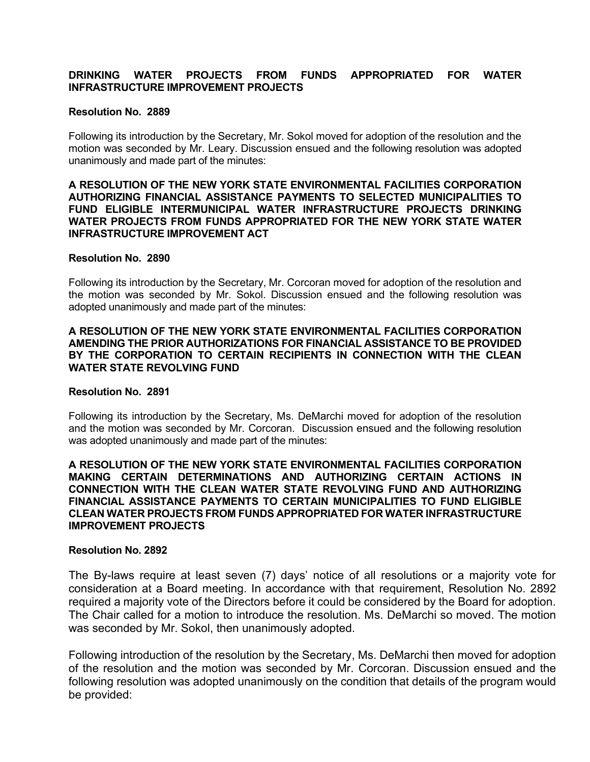## **DRINKING WATER PROJECTS FROM FUNDS APPROPRIATED FOR WATER INFRASTRUCTURE IMPROVEMENT PROJECTS**

#### **Resolution No. 2889**

 Following its introduction by the Secretary, Mr. Sokol moved for adoption of the resolution and the motion was seconded by Mr. Leary. Discussion ensued and the following resolution was adopted unanimously and made part of the minutes:

#### **A RESOLUTION OF THE NEW YORK STATE ENVIRONMENTAL FACILITIES CORPORATION AUTHORIZING FINANCIAL ASSISTANCE PAYMENTS TO SELECTED MUNICIPALITIES TO FUND ELIGIBLE INTERMUNICIPAL WATER INFRASTRUCTURE PROJECTS DRINKING WATER PROJECTS FROM FUNDS APPROPRIATED FOR THE NEW YORK STATE WATER INFRASTRUCTURE IMPROVEMENT ACT**

#### **Resolution No. 2890**

 Following its introduction by the Secretary, Mr. Corcoran moved for adoption of the resolution and the motion was seconded by Mr. Sokol. Discussion ensued and the following resolution was adopted unanimously and made part of the minutes:

## **A RESOLUTION OF THE NEW YORK STATE ENVIRONMENTAL FACILITIES CORPORATION AMENDING THE PRIOR AUTHORIZATIONS FOR FINANCIAL ASSISTANCE TO BE PROVIDED BY THE CORPORATION TO CERTAIN RECIPIENTS IN CONNECTION WITH THE CLEAN WATER STATE REVOLVING FUND**

## **Resolution No. 2891**

 Following its introduction by the Secretary, Ms. DeMarchi moved for adoption of the resolution and the motion was seconded by Mr. Corcoran. Discussion ensued and the following resolution was adopted unanimously and made part of the minutes:

### **A RESOLUTION OF THE NEW YORK STATE ENVIRONMENTAL FACILITIES CORPORATION MAKING CERTAIN DETERMINATIONS AND AUTHORIZING CERTAIN ACTIONS IN CONNECTION WITH THE CLEAN WATER STATE REVOLVING FUND AND AUTHORIZING FINANCIAL ASSISTANCE PAYMENTS TO CERTAIN MUNICIPALITIES TO FUND ELIGIBLE CLEAN WATER PROJECTS FROM FUNDS APPROPRIATED FOR WATER INFRASTRUCTURE IMPROVEMENT PROJECTS**

#### **Resolution No. 2892**

 The By-laws require at least seven (7) days' notice of all resolutions or a majority vote for consideration at a Board meeting. In accordance with that requirement, Resolution No. 2892 required a majority vote of the Directors before it could be considered by the Board for adoption. The Chair called for a motion to introduce the resolution. Ms. DeMarchi so moved. The motion was seconded by Mr. Sokol, then unanimously adopted.

 Following introduction of the resolution by the Secretary, Ms. DeMarchi then moved for adoption of the resolution and the motion was seconded by Mr. Corcoran. Discussion ensued and the following resolution was adopted unanimously on the condition that details of the program would be provided: